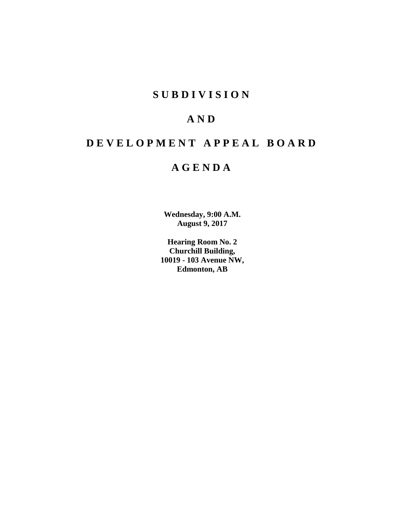# **SUBDIVISION**

# **AND**

# **DEVELOPMENT APPEAL BOARD**

# **AGENDA**

**Wednesday, 9:00 A.M. August 9, 2017**

**Hearing Room No. 2 Churchill Building, 10019 - 103 Avenue NW, Edmonton, AB**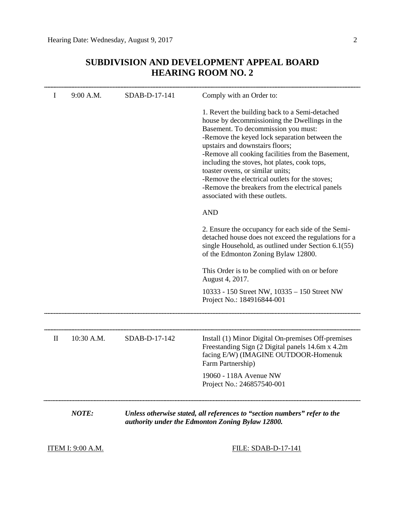# **SUBDIVISION AND DEVELOPMENT APPEAL BOARD HEARING ROOM NO. 2**

| I                                                                                                                                             | 9:00 A.M.  | SDAB-D-17-141       | Comply with an Order to:                                                                                                                                                                                                                                                                                                                                                                                                                                                                                   |  |  |  |
|-----------------------------------------------------------------------------------------------------------------------------------------------|------------|---------------------|------------------------------------------------------------------------------------------------------------------------------------------------------------------------------------------------------------------------------------------------------------------------------------------------------------------------------------------------------------------------------------------------------------------------------------------------------------------------------------------------------------|--|--|--|
|                                                                                                                                               |            |                     | 1. Revert the building back to a Semi-detached<br>house by decommissioning the Dwellings in the<br>Basement. To decommission you must:<br>-Remove the keyed lock separation between the<br>upstairs and downstairs floors;<br>-Remove all cooking facilities from the Basement,<br>including the stoves, hot plates, cook tops,<br>toaster ovens, or similar units;<br>-Remove the electrical outlets for the stoves;<br>-Remove the breakers from the electrical panels<br>associated with these outlets. |  |  |  |
|                                                                                                                                               |            |                     | <b>AND</b>                                                                                                                                                                                                                                                                                                                                                                                                                                                                                                 |  |  |  |
|                                                                                                                                               |            |                     | 2. Ensure the occupancy for each side of the Semi-<br>detached house does not exceed the regulations for a<br>single Household, as outlined under Section 6.1(55)<br>of the Edmonton Zoning Bylaw 12800.                                                                                                                                                                                                                                                                                                   |  |  |  |
|                                                                                                                                               |            |                     | This Order is to be complied with on or before<br>August 4, 2017.                                                                                                                                                                                                                                                                                                                                                                                                                                          |  |  |  |
|                                                                                                                                               |            |                     | 10333 - 150 Street NW, 10335 - 150 Street NW<br>Project No.: 184916844-001                                                                                                                                                                                                                                                                                                                                                                                                                                 |  |  |  |
|                                                                                                                                               |            |                     |                                                                                                                                                                                                                                                                                                                                                                                                                                                                                                            |  |  |  |
| $\mathop{\mathrm{II}}$                                                                                                                        | 10:30 A.M. | SDAB-D-17-142       | Install (1) Minor Digital On-premises Off-premises<br>Freestanding Sign (2 Digital panels 14.6m x 4.2m)<br>facing E/W) (IMAGINE OUTDOOR-Homenuk<br>Farm Partnership)                                                                                                                                                                                                                                                                                                                                       |  |  |  |
|                                                                                                                                               |            |                     | 19060 - 118A Avenue NW<br>Project No.: 246857540-001                                                                                                                                                                                                                                                                                                                                                                                                                                                       |  |  |  |
| <b>NOTE:</b><br>Unless otherwise stated, all references to "section numbers" refer to the<br>authority under the Edmonton Zoning Bylaw 12800. |            |                     |                                                                                                                                                                                                                                                                                                                                                                                                                                                                                                            |  |  |  |
| <u>ITEM I: 9:00 A.M.</u>                                                                                                                      |            | FILE: SDAB-D-17-141 |                                                                                                                                                                                                                                                                                                                                                                                                                                                                                                            |  |  |  |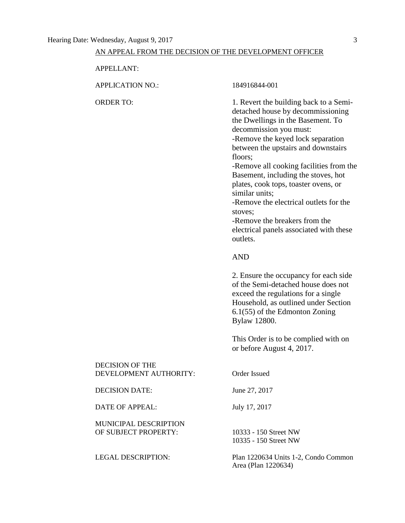# AN APPEAL FROM THE DECISION OF THE DEVELOPMENT OFFICER

APPELLANT:

APPLICATION NO.: 184916844-001

ORDER TO: 1. Revert the building back to a Semidetached house by decommissioning the Dwellings in the Basement. To decommission you must: -Remove the keyed lock separation between the upstairs and downstairs floors; -Remove all cooking facilities from the Basement, including the stoves, hot

plates, cook tops, toaster ovens, or similar units;

-Remove the electrical outlets for the stoves;

-Remove the breakers from the electrical panels associated with these outlets.

# AND

2. Ensure the occupancy for each side of the Semi-detached house does not exceed the regulations for a single Household, as outlined under Section 6.1(55) of the Edmonton Zoning Bylaw 12800.

This Order is to be complied with on or before August 4, 2017.

| DECISION OF THE<br>DEVELOPMENT AUTHORITY: | Order Issued  |
|-------------------------------------------|---------------|
| DECISION DATE:                            | June 27, 2017 |
| DATE OF APPEAL:                           | July 17, 2017 |

MUNICIPAL DESCRIPTION OF SUBJECT PROPERTY: 10333 - 150 Street NW

10335 - 150 Street NW

LEGAL DESCRIPTION: Plan 1220634 Units 1-2, Condo Common Area (Plan 1220634)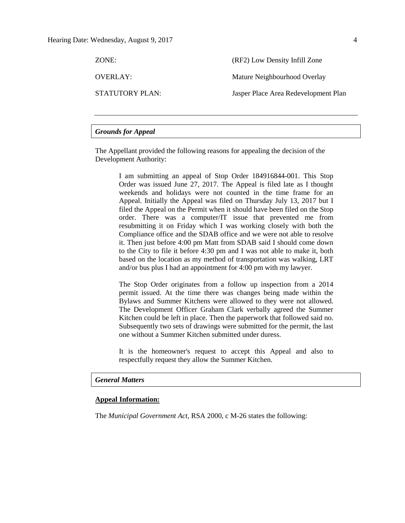| ZONE:           | (RF2) Low Density Infill Zone        |
|-----------------|--------------------------------------|
| OVERLAY:        | Mature Neighbourhood Overlay         |
| STATUTORY PLAN: | Jasper Place Area Redevelopment Plan |

# *Grounds for Appeal*

The Appellant provided the following reasons for appealing the decision of the Development Authority:

> I am submitting an appeal of Stop Order 184916844-001. This Stop Order was issued June 27, 2017. The Appeal is filed late as I thought weekends and holidays were not counted in the time frame for an Appeal. Initially the Appeal was filed on Thursday July 13, 2017 but I filed the Appeal on the Permit when it should have been filed on the Stop order. There was a computer/IT issue that prevented me from resubmitting it on Friday which I was working closely with both the Compliance office and the SDAB office and we were not able to resolve it. Then just before 4:00 pm Matt from SDAB said I should come down to the City to file it before 4:30 pm and I was not able to make it, both based on the location as my method of transportation was walking, LRT and/or bus plus I had an appointment for 4:00 pm with my lawyer.

> The Stop Order originates from a follow up inspection from a 2014 permit issued. At the time there was changes being made within the Bylaws and Summer Kitchens were allowed to they were not allowed. The Development Officer Graham Clark verbally agreed the Summer Kitchen could be left in place. Then the paperwork that followed said no. Subsequently two sets of drawings were submitted for the permit, the last one without a Summer Kitchen submitted under duress.

> It is the homeowner's request to accept this Appeal and also to respectfully request they allow the Summer Kitchen.

### *General Matters*

# **Appeal Information:**

The *Municipal Government Act*, RSA 2000, c M-26 states the following: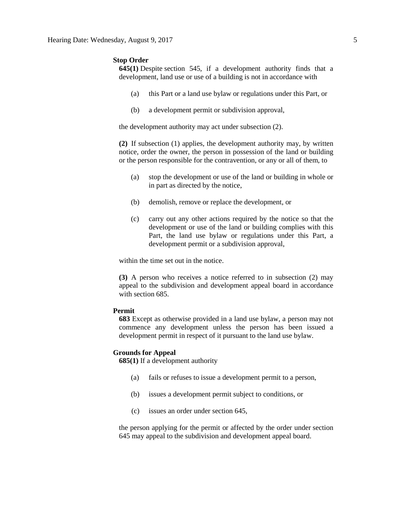#### **Stop Order**

**645(1)** Despite [section 545,](https://www.canlii.org/en/ab/laws/stat/rsa-2000-c-m-26/latest/rsa-2000-c-m-26.html%23sec545_smooth) if a development authority finds that a development, land use or use of a building is not in accordance with

- (a) this Part or a land use bylaw or regulations under this Part, or
- (b) a development permit or subdivision approval,

the development authority may act under subsection (2).

**(2)** If subsection (1) applies, the development authority may, by written notice, order the owner, the person in possession of the land or building or the person responsible for the contravention, or any or all of them, to

- (a) stop the development or use of the land or building in whole or in part as directed by the notice,
- (b) demolish, remove or replace the development, or
- (c) carry out any other actions required by the notice so that the development or use of the land or building complies with this Part, the land use bylaw or regulations under this Part, a development permit or a subdivision approval,

within the time set out in the notice.

**(3)** A person who receives a notice referred to in subsection (2) may appeal to the subdivision and development appeal board in accordance with [section 685.](https://www.canlii.org/en/ab/laws/stat/rsa-2000-c-m-26/latest/rsa-2000-c-m-26.html%23sec685_smooth)

#### **Permit**

**683** Except as otherwise provided in a land use bylaw, a person may not commence any development unless the person has been issued a development permit in respect of it pursuant to the land use bylaw.

### **Grounds for Appeal**

**685(1)** If a development authority

- (a) fails or refuses to issue a development permit to a person,
- (b) issues a development permit subject to conditions, or
- (c) issues an order under section 645,

the person applying for the permit or affected by the order under section 645 may appeal to the subdivision and development appeal board.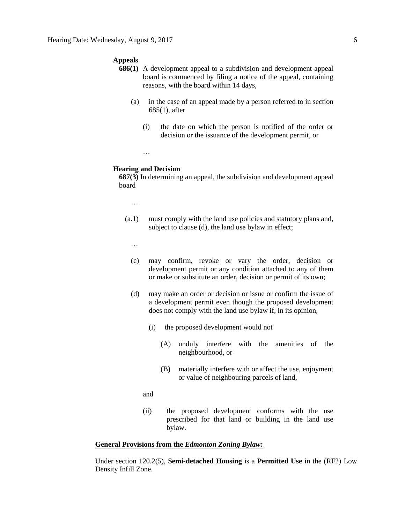#### **Appeals**

- **686(1)** A development appeal to a subdivision and development appeal board is commenced by filing a notice of the appeal, containing reasons, with the board within 14 days,
	- (a) in the case of an appeal made by a person referred to in section 685(1), after
		- (i) the date on which the person is notified of the order or decision or the issuance of the development permit, or
		- …

#### **Hearing and Decision**

**687(3)** In determining an appeal, the subdivision and development appeal board

…

(a.1) must comply with the land use policies and statutory plans and, subject to clause (d), the land use bylaw in effect;

…

- (c) may confirm, revoke or vary the order, decision or development permit or any condition attached to any of them or make or substitute an order, decision or permit of its own;
- (d) may make an order or decision or issue or confirm the issue of a development permit even though the proposed development does not comply with the land use bylaw if, in its opinion,
	- (i) the proposed development would not
		- (A) unduly interfere with the amenities of the neighbourhood, or
		- (B) materially interfere with or affect the use, enjoyment or value of neighbouring parcels of land,
	- and
	- (ii) the proposed development conforms with the use prescribed for that land or building in the land use bylaw.

### **General Provisions from the** *Edmonton Zoning Bylaw:*

Under section 120.2(5), **Semi-detached Housing** is a **Permitted Use** in the (RF2) Low Density Infill Zone.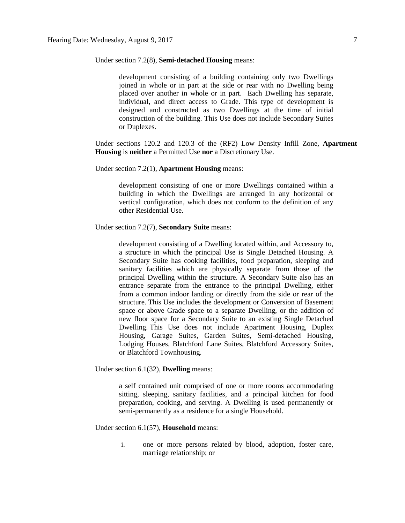#### Under section 7.2(8), **Semi-detached Housing** means:

development consisting of a building containing only two Dwellings joined in whole or in part at the side or rear with no Dwelling being placed over another in whole or in part. Each Dwelling has separate, individual, and direct access to Grade. This type of development is designed and constructed as two Dwellings at the time of initial construction of the building. This Use does not include Secondary Suites or Duplexes.

Under sections 120.2 and 120.3 of the (RF2) Low Density Infill Zone, **Apartment Housing** is **neither** a Permitted Use **nor** a Discretionary Use.

Under section 7.2(1), **Apartment Housing** means:

development consisting of one or more Dwellings contained within a building in which the Dwellings are arranged in any horizontal or vertical configuration, which does not conform to the definition of any other Residential Use.

Under section 7.2(7), **Secondary Suite** means:

development consisting of a Dwelling located within, and Accessory to, a structure in which the principal Use is Single Detached Housing. A Secondary Suite has cooking facilities, food preparation, sleeping and sanitary facilities which are physically separate from those of the principal Dwelling within the structure. A Secondary Suite also has an entrance separate from the entrance to the principal Dwelling, either from a common indoor landing or directly from the side or rear of the structure. This Use includes the development or Conversion of Basement space or above Grade space to a separate Dwelling, or the addition of new floor space for a Secondary Suite to an existing Single Detached Dwelling. This Use does not include Apartment Housing, Duplex Housing, Garage Suites, Garden Suites, Semi-detached Housing, Lodging Houses, Blatchford Lane Suites, Blatchford Accessory Suites, or Blatchford Townhousing.

Under section 6.1(32), **Dwelling** means:

a self contained unit comprised of one or more rooms accommodating sitting, sleeping, sanitary facilities, and a principal kitchen for food preparation, cooking, and serving. A Dwelling is used permanently or semi-permanently as a residence for a single Household.

Under section 6.1(57), **Household** means:

i. one or more persons related by blood, adoption, foster care, marriage relationship; or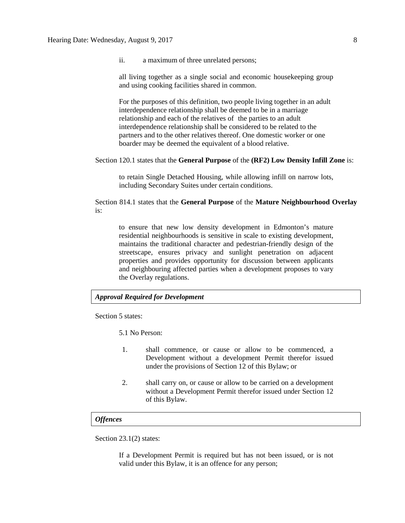ii. a maximum of three unrelated persons;

all living together as a single social and economic housekeeping group and using cooking facilities shared in common.

For the purposes of this definition, two people living together in an adult interdependence relationship shall be deemed to be in a marriage relationship and each of the relatives of the parties to an adult interdependence relationship shall be considered to be related to the partners and to the other relatives thereof. One domestic worker or one boarder may be deemed the equivalent of a blood relative.

#### Section 120.1 states that the **General Purpose** of the **(RF2) Low Density Infill Zone** is:

to retain Single Detached Housing, while allowing infill on narrow lots, including Secondary Suites under certain conditions.

Section 814.1 states that the **General Purpose** of the **Mature Neighbourhood Overlay** is:

to ensure that new low density development in Edmonton's mature residential neighbourhoods is sensitive in scale to existing development, maintains the traditional character and pedestrian-friendly design of the streetscape, ensures privacy and sunlight penetration on adjacent properties and provides opportunity for discussion between applicants and neighbouring affected parties when a development proposes to vary the Overlay regulations.

### *Approval Required for Development*

Section 5 states:

5.1 No Person:

- 1. shall commence, or cause or allow to be commenced, a Development without a development Permit therefor issued under the provisions of Section 12 of this Bylaw; or
- 2. shall carry on, or cause or allow to be carried on a development without a Development Permit therefor issued under Section 12 of this Bylaw.

### *Offences*

Section 23.1(2) states:

If a Development Permit is required but has not been issued, or is not valid under this Bylaw, it is an offence for any person;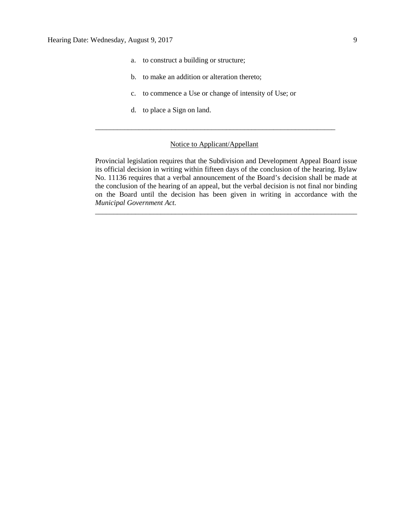- a. to construct a building or structure;
- b. to make an addition or alteration thereto;
- c. to commence a Use or change of intensity of Use; or
- d. to place a Sign on land.

### Notice to Applicant/Appellant

\_\_\_\_\_\_\_\_\_\_\_\_\_\_\_\_\_\_\_\_\_\_\_\_\_\_\_\_\_\_\_\_\_\_\_\_\_\_\_\_\_\_\_\_\_\_\_\_\_\_\_\_\_\_\_\_\_\_\_\_\_\_\_\_\_\_

Provincial legislation requires that the Subdivision and Development Appeal Board issue its official decision in writing within fifteen days of the conclusion of the hearing. Bylaw No. 11136 requires that a verbal announcement of the Board's decision shall be made at the conclusion of the hearing of an appeal, but the verbal decision is not final nor binding on the Board until the decision has been given in writing in accordance with the *Municipal Government Act.*

\_\_\_\_\_\_\_\_\_\_\_\_\_\_\_\_\_\_\_\_\_\_\_\_\_\_\_\_\_\_\_\_\_\_\_\_\_\_\_\_\_\_\_\_\_\_\_\_\_\_\_\_\_\_\_\_\_\_\_\_\_\_\_\_\_\_\_\_\_\_\_\_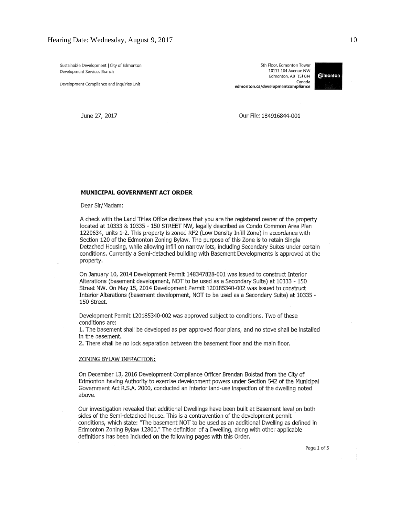Sustainable Development | City of Edmonton Development Services Branch

Development Compliance and Inquiries Unit

5th Floor, Edmonton Tower 10111 104 Avenue NW Edmonton, AB T5J 0J4 Canada edmonton.ca/developmentcompliance



June 27, 2017

Our File: 184916844-001

#### MUNICIPAL GOVERNMENT ACT ORDER

Dear Sir/Madam:

A check with the Land Titles Office discloses that you are the registered owner of the property located at 10333 & 10335 - 150 STREET NW, legally described as Condo Common Area Plan 1220634, units 1-2. This property is zoned RF2 (Low Density Infill Zone) in accordance with Section 120 of the Edmonton Zoning Bylaw. The purpose of this Zone is to retain Single Detached Housing, while allowing infill on narrow lots, including Secondary Suites under certain conditions. Currently a Semi-detached building with Basement Developments is approved at the property.

On January 10, 2014 Development Permit 148347828-001 was issued to construct Interior Alterations (basement development, NOT to be used as a Secondary Suite) at 10333 - 150 Street NW. On May 15, 2014 Development Permit 120185340-002 was issued to construct Interior Alterations (basement development, NOT to be used as a Secondary Sulte) at 10335 -150 Street.

Development Permit 120185340-002 was approved subject to conditions. Two of these conditions are:

1. The basement shall be developed as per approved floor plans, and no stove shall be installed in the basement.

2. There shall be no lock separation between the basement floor and the main floor.

#### ZONING BYLAW INFRACTION:

On December 13, 2016 Development Compliance Officer Brendan Bolstad from the City of Edmonton having Authority to exercise development powers under Section 542 of the Municipal Government Act R.S.A. 2000, conducted an interior land-use inspection of the dwelling noted above.

Our investigation revealed that additional Dwellings have been built at Basement level on both sides of the Semi-detached house. This is a contravention of the development permit conditions, which state: "The basement NOT to be used as an additional Dwelling as defined in Edmonton Zoning Bylaw 12800." The definition of a Dwelling, along with other applicable definitions has been included on the following pages with this Order.

Page 1 of 5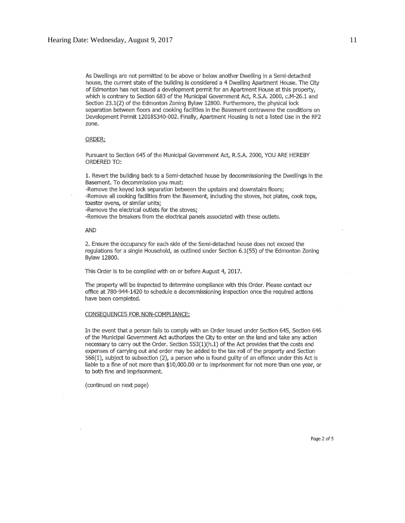As Dwellings are not permitted to be above or below another Dwelling in a Semi-detached house, the current state of the building is considered a 4 Dwelling Apartment House. The City of Edmonton has not issued a development permit for an Apartment House at this property, which is contrary to Section 683 of the Municipal Government Act, R.S.A. 2000, c.M-26.1 and Section 23.1(2) of the Edmonton Zoning Bylaw 12800. Furthermore, the physical lock separation between floors and cooking facilities in the Basement contravene the conditions on Development Permit 120185340-002. Finally, Apartment Housing is not a listed Use in the RF2 zone.

#### ORDER:

Pursuant to Section 645 of the Municipal Government Act, R.S.A. 2000, YOU ARE HEREBY ORDERED TO:

1. Revert the building back to a Semi-detached house by decommissioning the Dwellings in the Basement. To decommission you must:

-Remove the keyed lock separation between the upstairs and downstairs floors;

-Remove all cooking facilities from the Basement, including the stoves, hot plates, cook tops, toaster ovens, or similar units;

-Remove the electrical outlets for the stoves;

-Remove the breakers from the electrical panels associated with these outlets.

AND

2. Ensure the occupancy for each side of the Semi-detached house does not exceed the regulations for a single Household, as outlined under Section 6.1(55) of the Edmonton Zoning Bylaw 12800.

This Order is to be complied with on or before August 4, 2017.

The property will be inspected to determine compliance with this Order. Please contact our office at 780-944-1420 to schedule a decommissioning inspection once the required actions have been completed.

#### CONSEQUENCES FOR NON-COMPLIANCE:

In the event that a person fails to comply with an Order issued under Section 645, Section 646 of the Municipal Government Act authorizes the City to enter on the land and take any action necessary to carry out the Order. Section 553(1)(h.1) of the Act provides that the costs and expenses of carrying out and order may be added to the tax roll of the property and Section 566(1), subject to subsection (2), a person who is found guilty of an offence under this Act is liable to a fine of not more than \$10,000.00 or to imprisonment for not more than one year, or to both fine and imprisonment.

(continued on next page)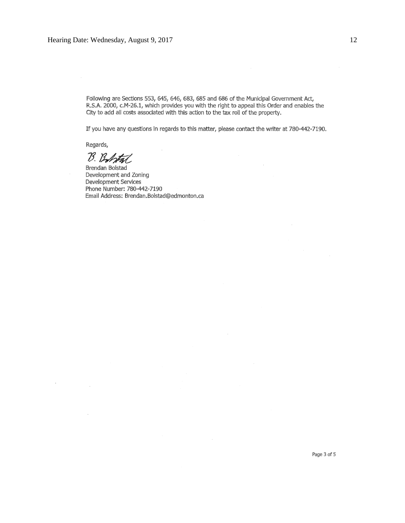Following are Sections 553, 645, 646, 683, 685 and 686 of the Municipal Government Act, R.S.A. 2000, c.M-26.1, which provides you with the right to appeal this Order and enables the City to add all costs associated with this action to the tax roll of the property.

If you have any questions in regards to this matter, please contact the writer at 780-442-7190.

 $\cdot$ 

Regards,

 $\bar{ }$ 

B. Bobtal

Brendan Bolstad Development and Zoning Development Services Phone Number: 780-442-7190 Email Address: Brendan.Bolstad@edmonton.ca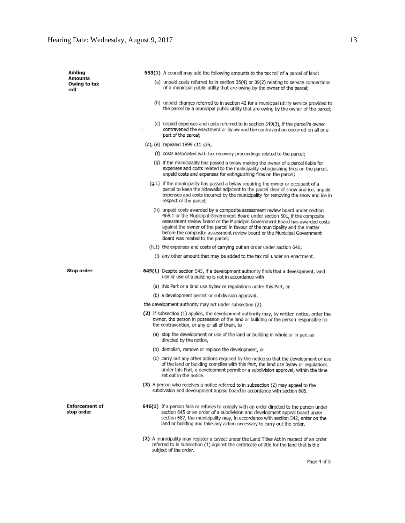Adding 553(1) A council may add the following amounts to the tax roll of a parcel of land: **Amounts** (a) unpaid costs referred to in section 35(4) or 39(2) relating to service connections Owing to tax of a municipal public utility that are owing by the owner of the parcel; roll (b) unpaid charges referred to in section 42 for a municipal utility service provided to the parcel by a municipal public utility that are owing by the owner of the parcel; (c) unpaid expenses and costs referred to in section 549(3), if the parcel?s owner contravened the enactment or bylaw and the contravention occurred on all or a part of the parcel: (d), (e) repealed 1999 c11 s35; (f) costs associated with tax recovery proceedings related to the parcel; (g) if the municipality has passed a bylaw making the owner of a parcel liable for expenses and costs related to the municipality extinguishing fires on the parcel, unpaid costs and expenses for extinguishing fires on the parcel; (g.1) if the municipality has passed a bylaw requiring the owner or occupant of a parcel to keep the sidewalks adjacent to the parcel clear of snow and ice, unpaid expenses and costs incurred by the municipality for removing the snow and ice in respect of the parcel; (h) unpaid costs awarded by a composite assessment review board under section 468.1 or the Municipal Government Board under section 501, if the composite assessment review board or the Municipal Government Board has awarded costs against the owner of the parcel in favour of the municipality and the matter before the composite assessment review board or the Municipal Government Board was related to the parcel; (h.1) the expenses and costs of carrying out an order under section 646; (I) any other amount that may be added to the tax roll under an enactment. Stop order 645(1) Despite section 545, if a development authority finds that a development, land use or use of a building is not in accordance with (a) this Part or a land use bylaw or regulations under this Part, or (b) a development permit or subdivision approval, the development authority may act under subsection (2). (2) If subsection (1) applies, the development authority may, by written notice, order the owner, the person in possession of the land or building or the person responsible for the contravention, or any or all of them, to (a) stop the development or use of the land or building in whole or in part as directed by the notice, (b) demolish, remove or replace the development, or (c) carry out any other actions required by the notice so that the development or use of the land or building complies with this Part, the land use bylaw or regulations under this Part, a development permit or a subdivision approval, within the time set out in the notice. (3) A person who receives a notice referred to in subsection (2) may appeal to the subdivision and development appeal board in accordance with section 685. **Enforcement of** 646(1) If a person fails or refuses to comply with an order directed to the person under stop order section 645 or an order of a subdivision and development appeal board under section 687, the municipality may, in accordance with section 542, enter on the land or building and take any action necessary to carry out the order.

> (2) A municipality may register a caveat under the Land Titles Act in respect of an order referred to in subsection (1) against the certificate of title for the land that is the subject of the order.

Page 4 of 5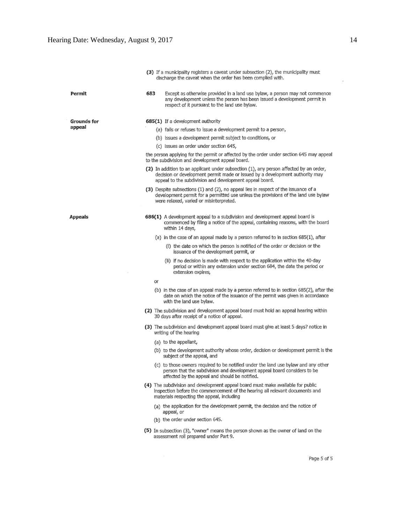$\bar{r}$ 

|             |     | (3) If a municipality registers a caveat under subsection (2), the municipality must<br>discharge the caveat when the order has been complied with.                                                                               |  |  |
|-------------|-----|-----------------------------------------------------------------------------------------------------------------------------------------------------------------------------------------------------------------------------------|--|--|
| Permit      | 683 | Except as otherwise provided in a land use bylaw, a person may not commence<br>any development unless the person has been issued a development permit in<br>respect of it pursuant to the land use bylaw.                         |  |  |
| Grounds for |     | 685(1) If a development authority                                                                                                                                                                                                 |  |  |
| appeal      |     | (a) fails or refuses to issue a development permit to a person,                                                                                                                                                                   |  |  |
|             |     | (b) issues a development permit subject to conditions, or                                                                                                                                                                         |  |  |
|             |     | (c) issues an order under section 645,                                                                                                                                                                                            |  |  |
|             |     | the person applying for the permit or affected by the order under section 645 may appeal<br>to the subdivision and development appeal board.                                                                                      |  |  |
|             |     | (2) In addition to an applicant under subsection (1), any person affected by an order,<br>decision or development permit made or issued by a development authority may<br>appeal to the subdivision and development appeal board. |  |  |
|             |     | (3) Despite subsections (1) and (2), no appeal lies in respect of the issuance of a<br>development permit for a permitted use unless the provisions of the land use bylaw<br>were relaxed, varied or misinterpreted.              |  |  |
| Appeals     |     | 686(1) A development appeal to a subdivision and development appeal board is<br>commenced by filing a notice of the appeal, containing reasons, with the board<br>within 14 days,                                                 |  |  |
|             |     | (a) in the case of an appeal made by a person referred to in section 685(1), after                                                                                                                                                |  |  |
|             |     | (i) the date on which the person is notified of the order or decision or the<br>issuance of the development permit, or                                                                                                            |  |  |
|             |     | (ii) if no decision is made with respect to the application within the 40-day<br>period or within any extension under section 684, the date the period or<br>extension expires,                                                   |  |  |
|             | or  |                                                                                                                                                                                                                                   |  |  |
|             |     | (b) in the case of an appeal made by a person referred to in section 685(2), after the<br>date on which the notice of the issuance of the permit was given in accordance<br>with the land use bylaw.                              |  |  |
|             |     | (2) The subdivision and development appeal board must hold an appeal hearing within<br>30 days after receipt of a notice of appeal.                                                                                               |  |  |
|             |     | (3) The subdivision and development appeal board must give at least 5 days? notice in<br>writing of the hearing                                                                                                                   |  |  |
|             |     | (a) to the appellant,                                                                                                                                                                                                             |  |  |
|             |     | (b) to the development authority whose order, decision or development permit is the<br>subject of the appeal, and                                                                                                                 |  |  |
|             |     | (c) to those owners required to be notified under the land use bylaw and any other<br>person that the subdivision and development appeal board considers to be<br>affected by the appeal and should be notified.                  |  |  |
|             |     | (4) The subdivision and development appeal board must make available for public<br>inspection before the commencement of the hearing all relevant documents and<br>materials respecting the appeal, including                     |  |  |
|             |     | (a) the application for the development permit, the decision and the notice of<br>appeal, or                                                                                                                                      |  |  |
|             |     | (b) the order under section 645.                                                                                                                                                                                                  |  |  |
|             |     | (5) In subsection (3), "owner" means the person shown as the owner of land on the<br>assessment roll prepared under Part 9.                                                                                                       |  |  |
|             |     |                                                                                                                                                                                                                                   |  |  |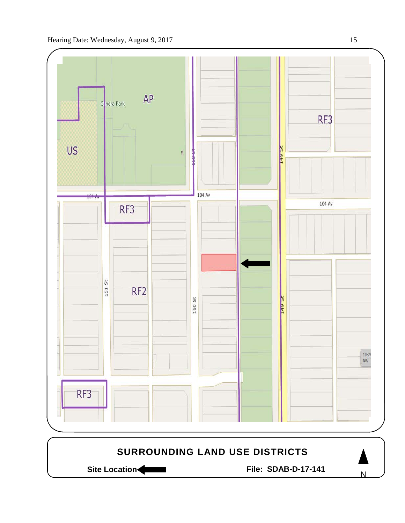

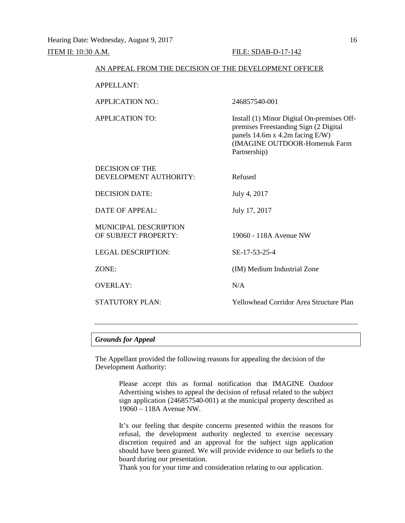### ITEM II: 10:30 A.M. FILE: SDAB-D-17-142

| AN APPEAL FROM THE DECISION OF THE DEVELOPMENT OFFICER |                                                                                                                                                                         |  |  |
|--------------------------------------------------------|-------------------------------------------------------------------------------------------------------------------------------------------------------------------------|--|--|
| <b>APPELLANT:</b>                                      |                                                                                                                                                                         |  |  |
| <b>APPLICATION NO.:</b>                                | 246857540-001                                                                                                                                                           |  |  |
| <b>APPLICATION TO:</b>                                 | Install (1) Minor Digital On-premises Off-<br>premises Freestanding Sign (2 Digital<br>panels 14.6m x 4.2m facing E/W)<br>(IMAGINE OUTDOOR-Homenuk Farm<br>Partnership) |  |  |
| DECISION OF THE<br>DEVELOPMENT AUTHORITY:              | Refused                                                                                                                                                                 |  |  |
| <b>DECISION DATE:</b>                                  | July 4, 2017                                                                                                                                                            |  |  |
| <b>DATE OF APPEAL:</b>                                 | July 17, 2017                                                                                                                                                           |  |  |
| <b>MUNICIPAL DESCRIPTION</b><br>OF SUBJECT PROPERTY:   | 19060 - 118A Avenue NW                                                                                                                                                  |  |  |
| <b>LEGAL DESCRIPTION:</b>                              | SE-17-53-25-4                                                                                                                                                           |  |  |
| ZONE:                                                  | (IM) Medium Industrial Zone                                                                                                                                             |  |  |
| <b>OVERLAY:</b>                                        | N/A                                                                                                                                                                     |  |  |
| <b>STATUTORY PLAN:</b>                                 | <b>Yellowhead Corridor Area Structure Plan</b>                                                                                                                          |  |  |

# *Grounds for Appeal*

The Appellant provided the following reasons for appealing the decision of the Development Authority:

> Please accept this as formal notification that IMAGINE Outdoor Advertising wishes to appeal the decision of refusal related to the subject sign application (246857540-001) at the municipal property described as 19060 – 118A Avenue NW.

> It's our feeling that despite concerns presented within the reasons for refusal, the development authority neglected to exercise necessary discretion required and an approval for the subject sign application should have been granted. We will provide evidence to our beliefs to the board during our presentation.

Thank you for your time and consideration relating to our application.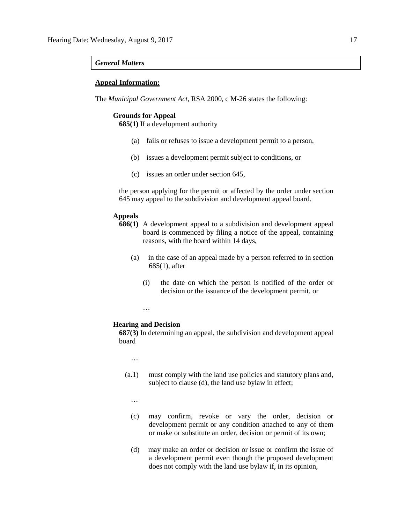#### *General Matters*

### **Appeal Information:**

The *Municipal Government Act*, RSA 2000, c M-26 states the following:

# **Grounds for Appeal**

**685(1)** If a development authority

- (a) fails or refuses to issue a development permit to a person,
- (b) issues a development permit subject to conditions, or
- (c) issues an order under section 645,

the person applying for the permit or affected by the order under section 645 may appeal to the subdivision and development appeal board.

# **Appeals**

- **686(1)** A development appeal to a subdivision and development appeal board is commenced by filing a notice of the appeal, containing reasons, with the board within 14 days,
	- (a) in the case of an appeal made by a person referred to in section 685(1), after
		- (i) the date on which the person is notified of the order or decision or the issuance of the development permit, or

…

#### **Hearing and Decision**

**687(3)** In determining an appeal, the subdivision and development appeal board

…

- (a.1) must comply with the land use policies and statutory plans and, subject to clause (d), the land use bylaw in effect;
	- …
	- (c) may confirm, revoke or vary the order, decision or development permit or any condition attached to any of them or make or substitute an order, decision or permit of its own;
	- (d) may make an order or decision or issue or confirm the issue of a development permit even though the proposed development does not comply with the land use bylaw if, in its opinion,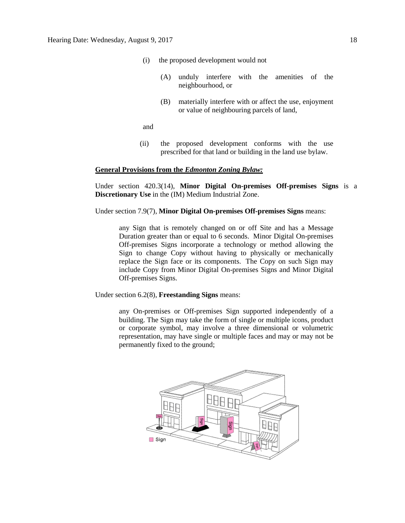- (i) the proposed development would not
	- (A) unduly interfere with the amenities of the neighbourhood, or
	- (B) materially interfere with or affect the use, enjoyment or value of neighbouring parcels of land,

and

(ii) the proposed development conforms with the use prescribed for that land or building in the land use bylaw.

### **General Provisions from the** *Edmonton Zoning Bylaw:*

Under section 420.3(14), **Minor Digital On-premises Off-premises Signs** is a **Discretionary Use** in the (IM) Medium Industrial Zone.

Under section 7.9(7), **Minor Digital On-premises Off-premises Signs** means:

any Sign that is remotely changed on or off Site and has a Message Duration greater than or equal to 6 seconds. Minor Digital On-premises Off-premises Signs incorporate a technology or method allowing the Sign to change Copy without having to physically or mechanically replace the Sign face or its components. The Copy on such Sign may include Copy from Minor Digital On-premises Signs and Minor Digital Off-premises Signs.

Under section 6.2(8), **Freestanding Signs** means:

any On-premises or Off-premises Sign supported independently of a building. The Sign may take the form of single or multiple icons, product or corporate symbol, may involve a three dimensional or volumetric representation, may have single or multiple faces and may or may not be permanently fixed to the ground;

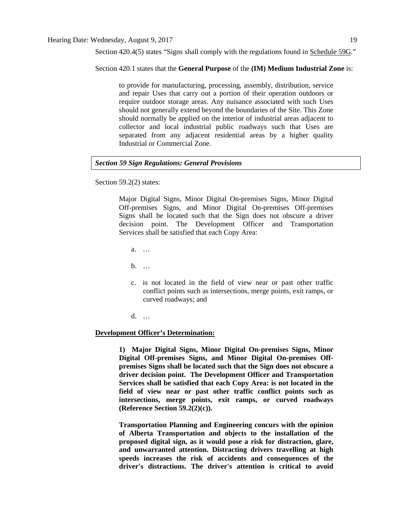Section 420.4(5) states "Signs shall comply with the regulations found in Schedule 59G."

Section 420.1 states that the **General Purpose** of the **(IM) Medium Industrial Zone** is:

to provide for manufacturing, processing, assembly, distribution, service and repair Uses that carry out a portion of their operation outdoors or require outdoor storage areas. Any nuisance associated with such Uses should not generally extend beyond the boundaries of the Site. This Zone should normally be applied on the interior of industrial areas adjacent to collector and local industrial public roadways such that Uses are separated from any adjacent residential areas by a higher quality Industrial or Commercial Zone.

# *Section 59 Sign Regulations: General Provisions*

Section 59.2(2) states:

Major Digital Signs, Minor Digital On-premises Signs, Minor Digital Off-premises Signs, and Minor Digital On-premises Off-premises Signs shall be located such that the Sign does not obscure a driver decision point. The Development Officer and Transportation Services shall be satisfied that each Copy Area:

- a. …
- b. …
- c. is not located in the field of view near or past other traffic conflict points such as intersections, merge points, exit ramps, or curved roadways; and
- d. …

#### **Development Officer's Determination:**

**1) Major Digital Signs, Minor Digital On-premises Signs, Minor Digital Off-premises Signs, and Minor Digital On-premises Offpremises Signs shall be located such that the Sign does not obscure a driver decision point. The Development Officer and Transportation Services shall be satisfied that each Copy Area: is not located in the field of view near or past other traffic conflict points such as intersections, merge points, exit ramps, or curved roadways (Reference Section 59.2(2)(c)).**

**Transportation Planning and Engineering concurs with the opinion of Alberta Transportation and objects to the installation of the proposed digital sign, as it would pose a risk for distraction, glare, and unwarranted attention. Distracting drivers travelling at high speeds increases the risk of accidents and consequences of the driver's distractions. The driver's attention is critical to avoid**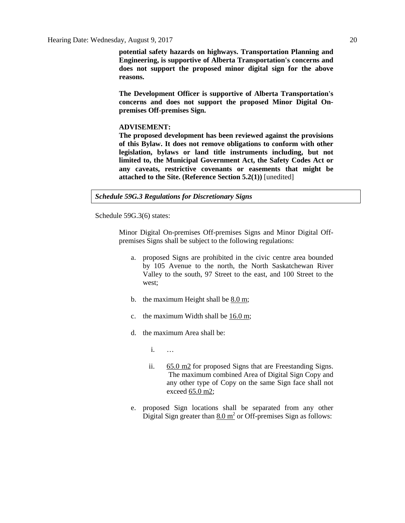**potential safety hazards on highways. Transportation Planning and Engineering, is supportive of Alberta Transportation's concerns and does not support the proposed minor digital sign for the above reasons.** 

**The Development Officer is supportive of Alberta Transportation's concerns and does not support the proposed Minor Digital Onpremises Off-premises Sign.**

#### **ADVISEMENT:**

**The proposed development has been reviewed against the provisions of this Bylaw. It does not remove obligations to conform with other legislation, bylaws or land title instruments including, but not limited to, the Municipal Government Act, the Safety Codes Act or any caveats, restrictive covenants or easements that might be attached to the Site. (Reference Section 5.2(1))** [unedited]

#### *Schedule 59G.3 Regulations for Discretionary Signs*

Schedule 59G.3(6) states:

Minor Digital On-premises Off-premises Signs and Minor Digital Offpremises Signs shall be subject to the following regulations:

- a. proposed Signs are prohibited in the civic centre area bounded by 105 Avenue to the north, the North Saskatchewan River Valley to the south, 97 Street to the east, and 100 Street to the west;
- b. the maximum Height shall be [8.0 m;](javascript:void(0);)
- c. the maximum Width shall be  $16.0 \text{ m}$ ;
- d. the maximum Area shall be:
	- i. …
	- ii. [65.0 m2](javascript:void(0);) for proposed Signs that are Freestanding Signs. The maximum combined Area of Digital Sign Copy and any other type of Copy on the same Sign face shall not exceed [65.0 m2;](javascript:void(0);)
- e. proposed Sign locations shall be separated from any other Digital Sign greater than  $8.0 \text{ m}^2$  or Off-premises Sign as follows: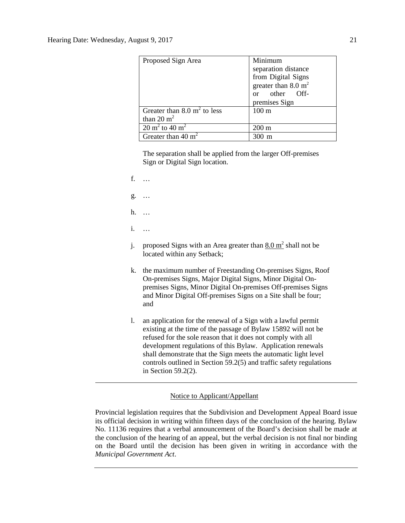| Proposed Sign Area                                     | Minimum<br>separation distance<br>from Digital Signs<br>greater than $8.0 \text{ m}^2$<br>or other Off-<br>premises Sign |
|--------------------------------------------------------|--------------------------------------------------------------------------------------------------------------------------|
| Greater than 8.0 $m2$ to less<br>than 20 $m2$          | 100 <sub>m</sub>                                                                                                         |
| $\overline{20 \text{ m}^2 \text{ to } 40 \text{ m}^2}$ | $200 \text{ m}$                                                                                                          |
| Greater than 40 $m2$                                   | m                                                                                                                        |

The separation shall be applied from the larger Off-premises Sign or Digital Sign location.

- f. …
- g. …
- h. …
- i. …
- j. proposed Signs with an Area greater than  $8.0 \text{ m}^2$  shall not be located within any Setback;
- k. the maximum number of Freestanding On-premises Signs, Roof On-premises Signs, Major Digital Signs, Minor Digital Onpremises Signs, Minor Digital On-premises Off-premises Signs and Minor Digital Off-premises Signs on a Site shall be four; and
- l. an application for the renewal of a Sign with a lawful permit existing at the time of the passage of Bylaw 15892 will not be refused for the sole reason that it does not comply with all development regulations of this Bylaw. Application renewals shall demonstrate that the Sign meets the automatic light level controls outlined in Section 59.2(5) and traffic safety regulations in Section 59.2(2).

# Notice to Applicant/Appellant

Provincial legislation requires that the Subdivision and Development Appeal Board issue its official decision in writing within fifteen days of the conclusion of the hearing. Bylaw No. 11136 requires that a verbal announcement of the Board's decision shall be made at the conclusion of the hearing of an appeal, but the verbal decision is not final nor binding on the Board until the decision has been given in writing in accordance with the *Municipal Government Act*.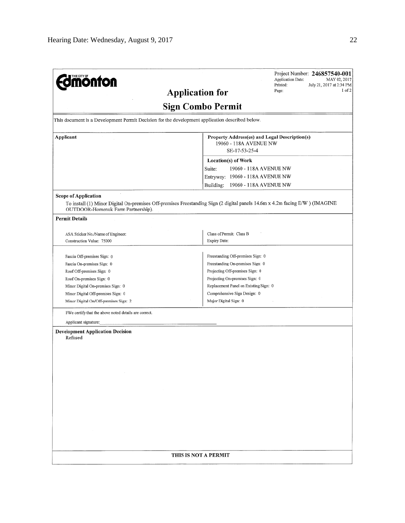| <b>Smönton</b>                                                                                  | Project Number: 246857540-001<br>Application Date:<br>MAY 02, 2017<br>Printed:<br>July 21, 2017 at 2:34 PM<br>$1$ of $2$<br>Page:<br><b>Application for</b> |
|-------------------------------------------------------------------------------------------------|-------------------------------------------------------------------------------------------------------------------------------------------------------------|
|                                                                                                 | <b>Sign Combo Permit</b>                                                                                                                                    |
| This document is a Development Permit Decision for the development application described below. |                                                                                                                                                             |
| Applicant                                                                                       | Property Address(es) and Legal Description(s)                                                                                                               |
|                                                                                                 | 19060 - 118A AVENUE NW<br>SE-17-53-25-4                                                                                                                     |
|                                                                                                 | Location(s) of Work                                                                                                                                         |
|                                                                                                 | 19060 - 118A AVENUE NW<br>Suite:                                                                                                                            |
|                                                                                                 | Entryway: 19060 - 118A AVENUE NW                                                                                                                            |
|                                                                                                 | Building:<br>19060 - 118A AVENUE NW                                                                                                                         |
| <b>Scope of Application</b>                                                                     | To install (1) Minor Digital On-premises Off-premises Freestanding Sign (2 digital panels 14.6m x 4.2m facing E/W ) (IMAGINE                                |
| OUTDOOR-Homenuk Farm Partnership).                                                              |                                                                                                                                                             |
| <b>Permit Details</b>                                                                           |                                                                                                                                                             |
| ASA Sticker No./Name of Engineer:                                                               | Class of Permit: Class B                                                                                                                                    |
| Construction Value: 75000                                                                       | Expiry Date:                                                                                                                                                |
|                                                                                                 |                                                                                                                                                             |
| Fascia Off-premises Sign: 0                                                                     | Freestanding Off-premises Sign: 0                                                                                                                           |
| Fascia On-premises Sign: 0                                                                      | Freestanding On-premises Sign: 0                                                                                                                            |
| Roof Off-premises Sign: 0                                                                       | Projecting Off-premises Sign: 0                                                                                                                             |
| Roof On-premises Sign: 0                                                                        | Projecting On-premises Sign: 0                                                                                                                              |
| Minor Digital On-premises Sign: 0                                                               | Replacement Panel on Existing Sign: 0                                                                                                                       |
| Minor Digital Off-premises Sign: 0                                                              | Comprehensive Sign Design: 0                                                                                                                                |
| Minor Digital On/Off-premises Sign: 2                                                           | Major Digital Sign: 0                                                                                                                                       |
| I/We certify that the above noted details are correct.                                          |                                                                                                                                                             |
| Applicant signature:                                                                            |                                                                                                                                                             |
| <b>Development Application Decision</b><br>Refused                                              |                                                                                                                                                             |
|                                                                                                 |                                                                                                                                                             |
|                                                                                                 |                                                                                                                                                             |
|                                                                                                 |                                                                                                                                                             |
| $\sim$                                                                                          |                                                                                                                                                             |
|                                                                                                 |                                                                                                                                                             |
|                                                                                                 |                                                                                                                                                             |
|                                                                                                 |                                                                                                                                                             |
|                                                                                                 |                                                                                                                                                             |
|                                                                                                 |                                                                                                                                                             |
|                                                                                                 |                                                                                                                                                             |
|                                                                                                 |                                                                                                                                                             |
|                                                                                                 |                                                                                                                                                             |
|                                                                                                 |                                                                                                                                                             |
|                                                                                                 |                                                                                                                                                             |
|                                                                                                 | THIS IS NOT A PERMIT                                                                                                                                        |
|                                                                                                 |                                                                                                                                                             |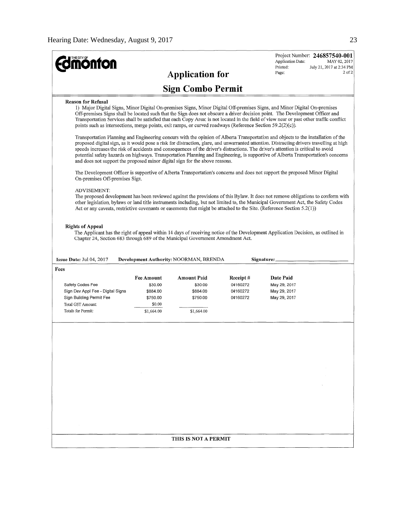|                                                                                                                                                                                                                                                                                                                                                                                                                                                                                                                                                                                                                                                                                                                                                                                                                                                                                                                                                                                                                                                                                                                                                                                                                                                                                                                                                                                                                                                                                                                                                                                                                                                                                                                                                                                    |                          |                        |          | Application Date:<br>Printed: | Project Number: 246857540-001<br>MAY 02, 2017<br>July 21, 2017 at 2:34 PM |  |
|------------------------------------------------------------------------------------------------------------------------------------------------------------------------------------------------------------------------------------------------------------------------------------------------------------------------------------------------------------------------------------------------------------------------------------------------------------------------------------------------------------------------------------------------------------------------------------------------------------------------------------------------------------------------------------------------------------------------------------------------------------------------------------------------------------------------------------------------------------------------------------------------------------------------------------------------------------------------------------------------------------------------------------------------------------------------------------------------------------------------------------------------------------------------------------------------------------------------------------------------------------------------------------------------------------------------------------------------------------------------------------------------------------------------------------------------------------------------------------------------------------------------------------------------------------------------------------------------------------------------------------------------------------------------------------------------------------------------------------------------------------------------------------|--------------------------|------------------------|----------|-------------------------------|---------------------------------------------------------------------------|--|
|                                                                                                                                                                                                                                                                                                                                                                                                                                                                                                                                                                                                                                                                                                                                                                                                                                                                                                                                                                                                                                                                                                                                                                                                                                                                                                                                                                                                                                                                                                                                                                                                                                                                                                                                                                                    |                          | <b>Application for</b> |          | Page:                         | $2$ of $2$                                                                |  |
|                                                                                                                                                                                                                                                                                                                                                                                                                                                                                                                                                                                                                                                                                                                                                                                                                                                                                                                                                                                                                                                                                                                                                                                                                                                                                                                                                                                                                                                                                                                                                                                                                                                                                                                                                                                    | <b>Sign Combo Permit</b> |                        |          |                               |                                                                           |  |
| <b>Reason for Refusal</b><br>1) Major Digital Signs, Minor Digital On-premises Signs, Minor Digital Off-premises Signs, and Minor Digital On-premises<br>Off-premises Signs shall be located such that the Sign does not obscure a driver decision point. The Development Officer and<br>Transportation Services shall be satisfied that each Copy Area: is not located in the field of view near or past other traffic conflict<br>points such as intersections, merge points, exit ramps, or curved roadways (Reference Section 59.2(2)(c)).<br>Transportation Planning and Engineering concurs with the opinion of Alberta Transportation and objects to the installation of the<br>proposed digital sign, as it would pose a risk for distraction, glare, and unwarranted attention. Distracting drivers travelling at high<br>speeds increases the risk of accidents and consequences of the driver's distractions. The driver's attention is critical to avoid<br>potential safety hazards on highways. Transportation Planning and Engineering, is supportive of Alberta Transportation's concerns<br>and does not support the proposed minor digital sign for the above reasons.<br>The Development Officer is supportive of Alberta Transportation's concerns and does not support the proposed Minor Digital<br>On-premises Off-premises Sign.<br><b>ADVISEMENT:</b><br>The proposed development has been reviewed against the provisions of this Bylaw. It does not remove obligations to conform with<br>other legislation, bylaws or land title instruments including, but not limited to, the Municipal Government Act, the Safety Codes<br>Act or any caveats, restrictive covenants or easements that might be attached to the Site. (Reference Section $5.2(1)$ ) |                          |                        |          |                               |                                                                           |  |
| <b>Rights of Appeal</b><br>The Applicant has the right of appeal within 14 days of receiving notice of the Development Application Decision, as outlined in<br>Chapter 24, Section 683 through 689 of the Municipal Government Amendment Act.<br>Development Authority: NOORMAN, BRENDA                                                                                                                                                                                                                                                                                                                                                                                                                                                                                                                                                                                                                                                                                                                                                                                                                                                                                                                                                                                                                                                                                                                                                                                                                                                                                                                                                                                                                                                                                            |                          |                        |          |                               |                                                                           |  |
| Issue Date: Jul 04, 2017<br>Fees                                                                                                                                                                                                                                                                                                                                                                                                                                                                                                                                                                                                                                                                                                                                                                                                                                                                                                                                                                                                                                                                                                                                                                                                                                                                                                                                                                                                                                                                                                                                                                                                                                                                                                                                                   |                          |                        |          | Signature:                    |                                                                           |  |
|                                                                                                                                                                                                                                                                                                                                                                                                                                                                                                                                                                                                                                                                                                                                                                                                                                                                                                                                                                                                                                                                                                                                                                                                                                                                                                                                                                                                                                                                                                                                                                                                                                                                                                                                                                                    | <b>Fee Amount</b>        | <b>Amount Paid</b>     | Receipt# | Date Paid                     |                                                                           |  |
| Safety Codes Fee                                                                                                                                                                                                                                                                                                                                                                                                                                                                                                                                                                                                                                                                                                                                                                                                                                                                                                                                                                                                                                                                                                                                                                                                                                                                                                                                                                                                                                                                                                                                                                                                                                                                                                                                                                   | \$30.00                  | \$30.00                | 04160272 | May 29, 2017                  |                                                                           |  |
| Sign Dev Appl Fee - Digital Signs                                                                                                                                                                                                                                                                                                                                                                                                                                                                                                                                                                                                                                                                                                                                                                                                                                                                                                                                                                                                                                                                                                                                                                                                                                                                                                                                                                                                                                                                                                                                                                                                                                                                                                                                                  | \$884.00                 | \$884.00               | 04160272 | May 29, 2017                  |                                                                           |  |
| Sign Building Permit Fee                                                                                                                                                                                                                                                                                                                                                                                                                                                                                                                                                                                                                                                                                                                                                                                                                                                                                                                                                                                                                                                                                                                                                                                                                                                                                                                                                                                                                                                                                                                                                                                                                                                                                                                                                           | \$750.00                 | \$750.00               | 04160272 | May 29, 2017                  |                                                                           |  |
| Total GST Amount:<br>Totals for Permit:                                                                                                                                                                                                                                                                                                                                                                                                                                                                                                                                                                                                                                                                                                                                                                                                                                                                                                                                                                                                                                                                                                                                                                                                                                                                                                                                                                                                                                                                                                                                                                                                                                                                                                                                            | \$0.00<br>\$1,664.00     | \$1,664.00             |          |                               |                                                                           |  |
|                                                                                                                                                                                                                                                                                                                                                                                                                                                                                                                                                                                                                                                                                                                                                                                                                                                                                                                                                                                                                                                                                                                                                                                                                                                                                                                                                                                                                                                                                                                                                                                                                                                                                                                                                                                    |                          |                        |          |                               |                                                                           |  |
|                                                                                                                                                                                                                                                                                                                                                                                                                                                                                                                                                                                                                                                                                                                                                                                                                                                                                                                                                                                                                                                                                                                                                                                                                                                                                                                                                                                                                                                                                                                                                                                                                                                                                                                                                                                    |                          |                        |          |                               |                                                                           |  |
| THIS IS NOT A PERMIT                                                                                                                                                                                                                                                                                                                                                                                                                                                                                                                                                                                                                                                                                                                                                                                                                                                                                                                                                                                                                                                                                                                                                                                                                                                                                                                                                                                                                                                                                                                                                                                                                                                                                                                                                               |                          |                        |          |                               |                                                                           |  |
|                                                                                                                                                                                                                                                                                                                                                                                                                                                                                                                                                                                                                                                                                                                                                                                                                                                                                                                                                                                                                                                                                                                                                                                                                                                                                                                                                                                                                                                                                                                                                                                                                                                                                                                                                                                    |                          |                        |          |                               |                                                                           |  |